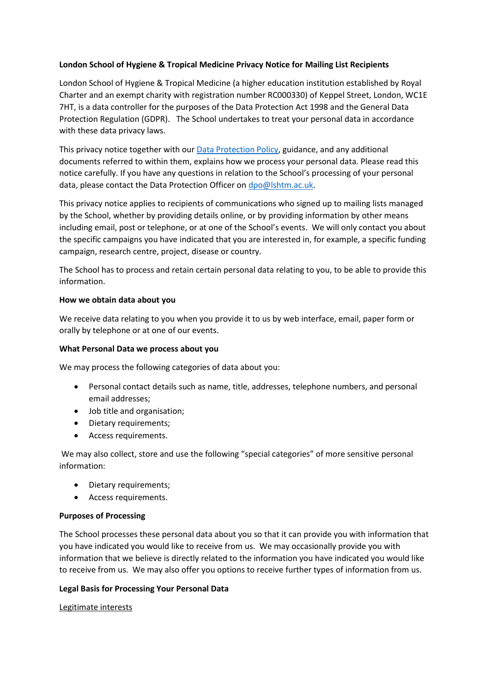## **London School of Hygiene & Tropical Medicine Privacy Notice for Mailing List Recipients**

London School of Hygiene & Tropical Medicine (a higher education institution established by Royal Charter and an exempt charity with registration number RC000330) of Keppel Street, London, WC1E 7HT, is a data controller for the purposes of the Data Protection Act 1998 and the General Data Protection Regulation (GDPR). The School undertakes to treat your personal data in accordance with these data privacy laws.

This privacy notice together with our **Data Protection Policy**, guidance, and any additional documents referred to within them, explains how we process your personal data. Please read this notice carefully. If you have any questions in relation to the School's processing of your personal data, please contact the Data Protection Officer on [dpo@lshtm.ac.uk.](mailto:dpo@lshtm.ac.uk)

This privacy notice applies to recipients of communications who signed up to mailing lists managed by the School, whether by providing details online, or by providing information by other means including email, post or telephone, or at one of the School's events. We will only contact you about the specific campaigns you have indicated that you are interested in, for example, a specific funding campaign, research centre, project, disease or country.

The School has to process and retain certain personal data relating to you, to be able to provide this information.

### **How we obtain data about you**

We receive data relating to you when you provide it to us by web interface, email, paper form or orally by telephone or at one of our events.

#### **What Personal Data we process about you**

We may process the following categories of data about you:

- Personal contact details such as name, title, addresses, telephone numbers, and personal email addresses;
- Job title and organisation;
- Dietary requirements;
- Access requirements.

We may also collect, store and use the following "special categories" of more sensitive personal information:

- Dietary requirements;
- Access requirements.

### **Purposes of Processing**

The School processes these personal data about you so that it can provide you with information that you have indicated you would like to receive from us. We may occasionally provide you with information that we believe is directly related to the information you have indicated you would like to receive from us. We may also offer you options to receive further types of information from us.

### **Legal Basis for Processing Your Personal Data**

### Legitimate interests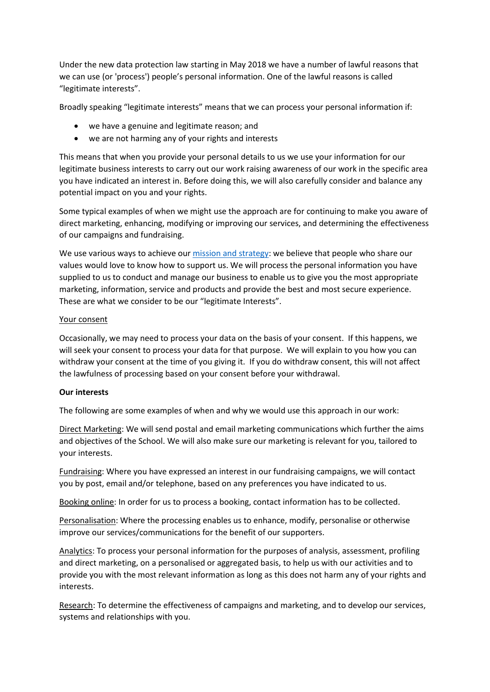Under the new data protection law starting in May 2018 we have a number of lawful reasons that we can use (or 'process') people's personal information. One of the lawful reasons is called "legitimate interests".

Broadly speaking "legitimate interests" means that we can process your personal information if:

- we have a genuine and legitimate reason; and
- we are not harming any of your rights and interests

This means that when you provide your personal details to us we use your information for our legitimate business interests to carry out our work raising awareness of our work in the specific area you have indicated an interest in. Before doing this, we will also carefully consider and balance any potential impact on you and your rights.

Some typical examples of when we might use the approach are for continuing to make you aware of direct marketing, enhancing, modifying or improving our services, and determining the effectiveness of our campaigns and fundraising.

We use various ways to achieve our [mission and strategy:](https://www.lshtm.ac.uk/aboutus/introducing/mission) we believe that people who share our values would love to know how to support us. We will process the personal information you have supplied to us to conduct and manage our business to enable us to give you the most appropriate marketing, information, service and products and provide the best and most secure experience. These are what we consider to be our "legitimate Interests".

### Your consent

Occasionally, we may need to process your data on the basis of your consent. If this happens, we will seek your consent to process your data for that purpose. We will explain to you how you can withdraw your consent at the time of you giving it. If you do withdraw consent, this will not affect the lawfulness of processing based on your consent before your withdrawal.

### **Our interests**

The following are some examples of when and why we would use this approach in our work:

Direct Marketing: We will send postal and email marketing communications which further the aims and objectives of the School. We will also make sure our marketing is relevant for you, tailored to your interests.

Fundraising: Where you have expressed an interest in our fundraising campaigns, we will contact you by post, email and/or telephone, based on any preferences you have indicated to us.

Booking online: In order for us to process a booking, contact information has to be collected.

Personalisation: Where the processing enables us to enhance, modify, personalise or otherwise improve our services/communications for the benefit of our supporters.

Analytics: To process your personal information for the purposes of analysis, assessment, profiling and direct marketing, on a personalised or aggregated basis, to help us with our activities and to provide you with the most relevant information as long as this does not harm any of your rights and interests.

Research: To determine the effectiveness of campaigns and marketing, and to develop our services, systems and relationships with you.